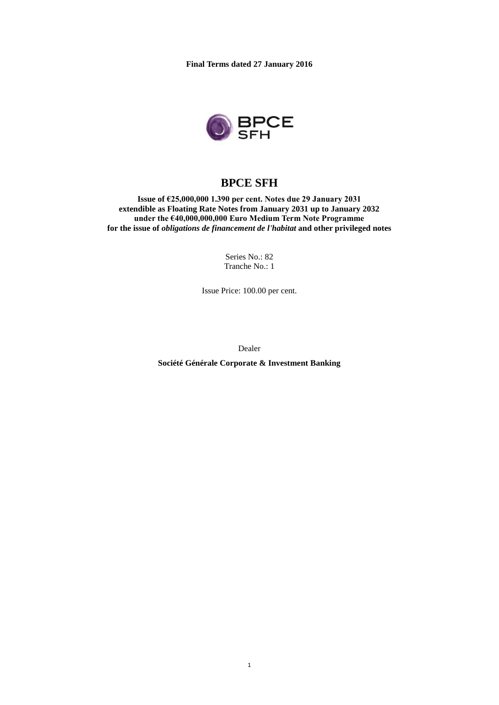**Final Terms dated 27 January 2016**



# **BPCE SFH**

**Issue of €25,000,000 1.390 per cent. Notes due 29 January 2031 extendible as Floating Rate Notes from January 2031 up to January 2032 under the €40,000,000,000 Euro Medium Term Note Programme for the issue of** *obligations de financement de l'habitat* **and other privileged notes**

> Series No.: 82 Tranche No.: 1

Issue Price: 100.00 per cent.

Dealer

**Société Générale Corporate & Investment Banking**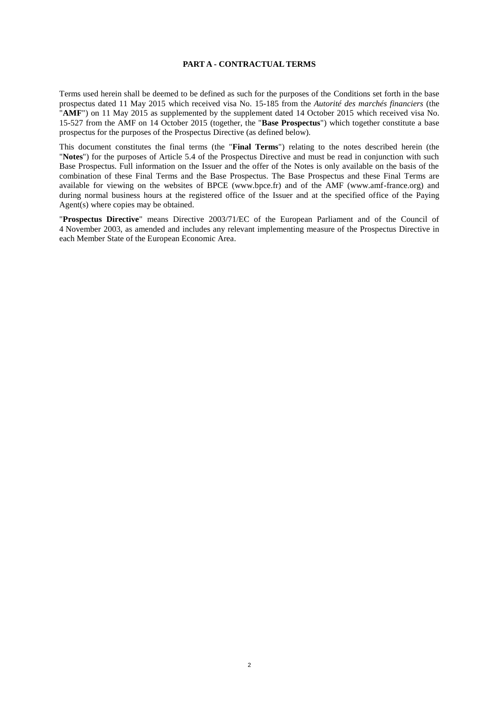#### **PART A - CONTRACTUAL TERMS**

Terms used herein shall be deemed to be defined as such for the purposes of the Conditions set forth in the base prospectus dated 11 May 2015 which received visa No. 15-185 from the *Autorité des marchés financiers* (the "**AMF**") on 11 May 2015 as supplemented by the supplement dated 14 October 2015 which received visa No. 15-527 from the AMF on 14 October 2015 (together, the "**Base Prospectus**") which together constitute a base prospectus for the purposes of the Prospectus Directive (as defined below).

This document constitutes the final terms (the "**Final Terms**") relating to the notes described herein (the "**Notes**") for the purposes of Article 5.4 of the Prospectus Directive and must be read in conjunction with such Base Prospectus. Full information on the Issuer and the offer of the Notes is only available on the basis of the combination of these Final Terms and the Base Prospectus. The Base Prospectus and these Final Terms are available for viewing on the websites of BPCE (www.bpce.fr) and of the AMF (www.amf-france.org) and during normal business hours at the registered office of the Issuer and at the specified office of the Paying Agent(s) where copies may be obtained.

"**Prospectus Directive**" means Directive 2003/71/EC of the European Parliament and of the Council of 4 November 2003, as amended and includes any relevant implementing measure of the Prospectus Directive in each Member State of the European Economic Area.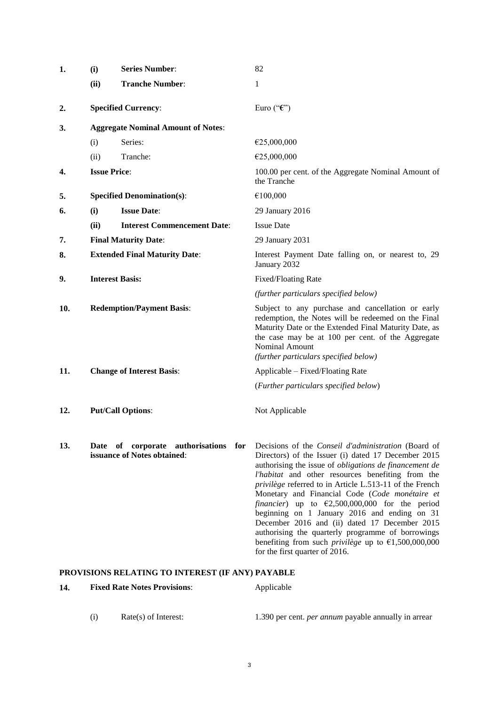| 1.  | (i)                                       | <b>Series Number:</b>                                                  | 82                                                                                                                                                                                                                                                                                                                                                                                                                                                                                                                                                                                                                                      |
|-----|-------------------------------------------|------------------------------------------------------------------------|-----------------------------------------------------------------------------------------------------------------------------------------------------------------------------------------------------------------------------------------------------------------------------------------------------------------------------------------------------------------------------------------------------------------------------------------------------------------------------------------------------------------------------------------------------------------------------------------------------------------------------------------|
|     | (ii)                                      | <b>Tranche Number:</b>                                                 | 1                                                                                                                                                                                                                                                                                                                                                                                                                                                                                                                                                                                                                                       |
| 2.  |                                           | <b>Specified Currency:</b>                                             | Euro (" $\mathcal{E}$ ")                                                                                                                                                                                                                                                                                                                                                                                                                                                                                                                                                                                                                |
| 3.  | <b>Aggregate Nominal Amount of Notes:</b> |                                                                        |                                                                                                                                                                                                                                                                                                                                                                                                                                                                                                                                                                                                                                         |
|     | (i)                                       | Series:                                                                | €25,000,000                                                                                                                                                                                                                                                                                                                                                                                                                                                                                                                                                                                                                             |
|     | (ii)                                      | Tranche:                                                               | €25,000,000                                                                                                                                                                                                                                                                                                                                                                                                                                                                                                                                                                                                                             |
| 4.  |                                           | <b>Issue Price:</b>                                                    | 100.00 per cent. of the Aggregate Nominal Amount of<br>the Tranche                                                                                                                                                                                                                                                                                                                                                                                                                                                                                                                                                                      |
| 5.  |                                           | <b>Specified Denomination(s):</b>                                      | €100,000                                                                                                                                                                                                                                                                                                                                                                                                                                                                                                                                                                                                                                |
| 6.  | (i)                                       | <b>Issue Date:</b>                                                     | 29 January 2016                                                                                                                                                                                                                                                                                                                                                                                                                                                                                                                                                                                                                         |
|     | (ii)                                      | <b>Interest Commencement Date:</b>                                     | <b>Issue Date</b>                                                                                                                                                                                                                                                                                                                                                                                                                                                                                                                                                                                                                       |
| 7.  |                                           | <b>Final Maturity Date:</b>                                            | 29 January 2031                                                                                                                                                                                                                                                                                                                                                                                                                                                                                                                                                                                                                         |
| 8.  | <b>Extended Final Maturity Date:</b>      |                                                                        | Interest Payment Date falling on, or nearest to, 29<br>January 2032                                                                                                                                                                                                                                                                                                                                                                                                                                                                                                                                                                     |
| 9.  |                                           | <b>Interest Basis:</b>                                                 | <b>Fixed/Floating Rate</b>                                                                                                                                                                                                                                                                                                                                                                                                                                                                                                                                                                                                              |
|     |                                           |                                                                        | (further particulars specified below)                                                                                                                                                                                                                                                                                                                                                                                                                                                                                                                                                                                                   |
| 10. |                                           | <b>Redemption/Payment Basis:</b>                                       | Subject to any purchase and cancellation or early<br>redemption, the Notes will be redeemed on the Final<br>Maturity Date or the Extended Final Maturity Date, as<br>the case may be at 100 per cent. of the Aggregate<br>Nominal Amount<br>(further particulars specified below)                                                                                                                                                                                                                                                                                                                                                       |
| 11. |                                           | <b>Change of Interest Basis:</b>                                       | Applicable – Fixed/Floating Rate                                                                                                                                                                                                                                                                                                                                                                                                                                                                                                                                                                                                        |
|     |                                           |                                                                        | (Further particulars specified below)                                                                                                                                                                                                                                                                                                                                                                                                                                                                                                                                                                                                   |
| 12. |                                           | <b>Put/Call Options:</b>                                               | Not Applicable                                                                                                                                                                                                                                                                                                                                                                                                                                                                                                                                                                                                                          |
| 13. |                                           | Date of corporate authorisations<br>for<br>issuance of Notes obtained: | Decisions of the Conseil d'administration (Board of<br>Directors) of the Issuer (i) dated 17 December 2015<br>authorising the issue of <i>obligations de financement de</i><br>l'habitat and other resources benefiting from the<br>privilège referred to in Article L.513-11 of the French<br>Monetary and Financial Code (Code monétaire et<br>financier) up to $\epsilon$ 2,500,000,000 for the period<br>beginning on 1 January 2016 and ending on 31<br>December 2016 and (ii) dated 17 December 2015<br>authorising the quarterly programme of borrowings<br>benefiting from such <i>privilege</i> up to $\epsilon$ 1,500,000,000 |

# **PROVISIONS RELATING TO INTEREST (IF ANY) PAYABLE**

| Applicable |
|------------|
|            |

(i) Rate(s) of Interest: 1.390 per cent. *per annum* payable annually in arrear

for the first quarter of 2016.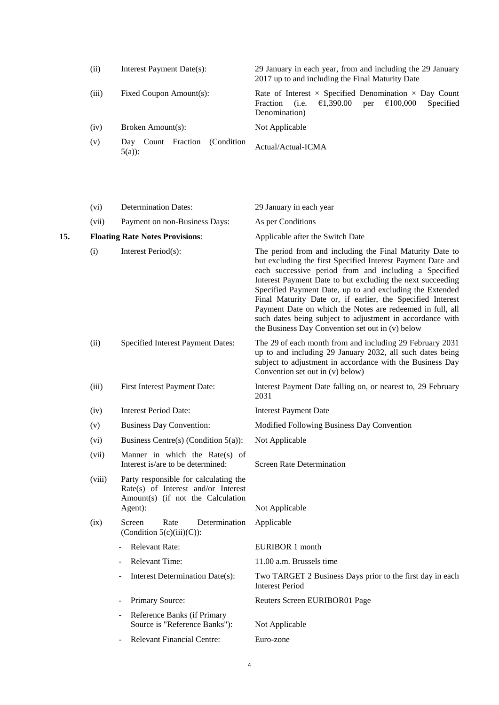| (ii)  | Interest Payment Date(s):                           | 29 January in each year, from and including the 29 January<br>2017 up to and including the Final Maturity Date                                         |
|-------|-----------------------------------------------------|--------------------------------------------------------------------------------------------------------------------------------------------------------|
| (iii) | Fixed Coupon Amount(s):                             | Rate of Interest $\times$ Specified Denomination $\times$ Day Count<br>€100,000<br>€1,390.00<br>Specified<br>(i.e.<br>Fraction<br>per<br>Denomination) |
| (iv)  | Broken Amount(s):                                   | Not Applicable                                                                                                                                         |
| (v)   | Fraction<br>(Condition)<br>Count<br>Day<br>$5(a)$ : | Actual/Actual-ICMA                                                                                                                                     |

|     | (vi)                                   | <b>Determination Dates:</b>                                                                                                  | 29 January in each year                                                                                                                                                                                                                                                                                                                                                                                                                                                                                                                                |
|-----|----------------------------------------|------------------------------------------------------------------------------------------------------------------------------|--------------------------------------------------------------------------------------------------------------------------------------------------------------------------------------------------------------------------------------------------------------------------------------------------------------------------------------------------------------------------------------------------------------------------------------------------------------------------------------------------------------------------------------------------------|
|     | (vii)                                  | Payment on non-Business Days:                                                                                                | As per Conditions                                                                                                                                                                                                                                                                                                                                                                                                                                                                                                                                      |
| 15. | <b>Floating Rate Notes Provisions:</b> |                                                                                                                              | Applicable after the Switch Date                                                                                                                                                                                                                                                                                                                                                                                                                                                                                                                       |
|     | (i)                                    | Interest Period(s):                                                                                                          | The period from and including the Final Maturity Date to<br>but excluding the first Specified Interest Payment Date and<br>each successive period from and including a Specified<br>Interest Payment Date to but excluding the next succeeding<br>Specified Payment Date, up to and excluding the Extended<br>Final Maturity Date or, if earlier, the Specified Interest<br>Payment Date on which the Notes are redeemed in full, all<br>such dates being subject to adjustment in accordance with<br>the Business Day Convention set out in (v) below |
|     | (ii)                                   | Specified Interest Payment Dates:                                                                                            | The 29 of each month from and including 29 February 2031<br>up to and including 29 January 2032, all such dates being<br>subject to adjustment in accordance with the Business Day<br>Convention set out in (v) below)                                                                                                                                                                                                                                                                                                                                 |
|     | (iii)                                  | First Interest Payment Date:                                                                                                 | Interest Payment Date falling on, or nearest to, 29 February<br>2031                                                                                                                                                                                                                                                                                                                                                                                                                                                                                   |
|     | (iv)                                   | <b>Interest Period Date:</b>                                                                                                 | <b>Interest Payment Date</b>                                                                                                                                                                                                                                                                                                                                                                                                                                                                                                                           |
|     | (v)                                    | <b>Business Day Convention:</b>                                                                                              | Modified Following Business Day Convention                                                                                                                                                                                                                                                                                                                                                                                                                                                                                                             |
|     | (vi)                                   | Business Centre(s) (Condition $5(a)$ ):                                                                                      | Not Applicable                                                                                                                                                                                                                                                                                                                                                                                                                                                                                                                                         |
|     | (vii)                                  | Manner in which the Rate $(s)$ of<br>Interest is/are to be determined:                                                       | <b>Screen Rate Determination</b>                                                                                                                                                                                                                                                                                                                                                                                                                                                                                                                       |
|     | (viii)                                 | Party responsible for calculating the<br>Rate(s) of Interest and/or Interest<br>Amount(s) (if not the Calculation<br>Agent): | Not Applicable                                                                                                                                                                                                                                                                                                                                                                                                                                                                                                                                         |
|     | (ix)                                   | Screen<br>Rate<br>Determination<br>(Condition $5(c)(iii)(C)$ ):                                                              | Applicable                                                                                                                                                                                                                                                                                                                                                                                                                                                                                                                                             |
|     |                                        | <b>Relevant Rate:</b>                                                                                                        | EURIBOR 1 month                                                                                                                                                                                                                                                                                                                                                                                                                                                                                                                                        |
|     |                                        | <b>Relevant Time:</b>                                                                                                        | 11.00 a.m. Brussels time                                                                                                                                                                                                                                                                                                                                                                                                                                                                                                                               |
|     |                                        | Interest Determination Date(s):                                                                                              | Two TARGET 2 Business Days prior to the first day in each<br><b>Interest Period</b>                                                                                                                                                                                                                                                                                                                                                                                                                                                                    |
|     |                                        | Primary Source:                                                                                                              | Reuters Screen EURIBOR01 Page                                                                                                                                                                                                                                                                                                                                                                                                                                                                                                                          |
|     |                                        | Reference Banks (if Primary<br>Source is "Reference Banks"):                                                                 | Not Applicable                                                                                                                                                                                                                                                                                                                                                                                                                                                                                                                                         |
|     |                                        | <b>Relevant Financial Centre:</b>                                                                                            | Euro-zone                                                                                                                                                                                                                                                                                                                                                                                                                                                                                                                                              |
|     |                                        |                                                                                                                              |                                                                                                                                                                                                                                                                                                                                                                                                                                                                                                                                                        |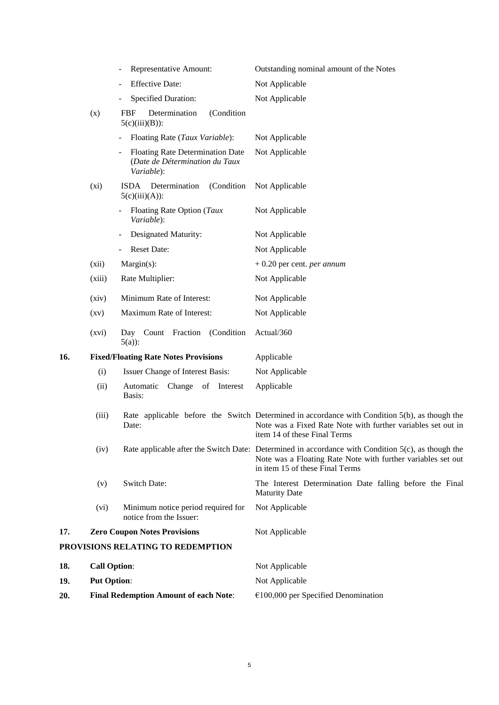|     |                                     | Representative Amount:                                                                  | Outstanding nominal amount of the Notes                                                                                                                                                               |
|-----|-------------------------------------|-----------------------------------------------------------------------------------------|-------------------------------------------------------------------------------------------------------------------------------------------------------------------------------------------------------|
|     |                                     | <b>Effective Date:</b>                                                                  | Not Applicable                                                                                                                                                                                        |
|     |                                     | Specified Duration:                                                                     | Not Applicable                                                                                                                                                                                        |
|     | (x)                                 | Determination<br>(Condition<br>FBF<br>$5(c)(iii)(B))$ :                                 |                                                                                                                                                                                                       |
|     |                                     | Floating Rate (Taux Variable):                                                          | Not Applicable                                                                                                                                                                                        |
|     |                                     | <b>Floating Rate Determination Date</b><br>(Date de Détermination du Taux<br>Variable): | Not Applicable                                                                                                                                                                                        |
|     | (xi)                                | Determination<br>(Condition<br><b>ISDA</b><br>$5(c)(iii)(A))$ :                         | Not Applicable                                                                                                                                                                                        |
|     |                                     | Floating Rate Option (Taux<br>Variable):                                                | Not Applicable                                                                                                                                                                                        |
|     |                                     | Designated Maturity:                                                                    | Not Applicable                                                                                                                                                                                        |
|     |                                     | <b>Reset Date:</b>                                                                      | Not Applicable                                                                                                                                                                                        |
|     | (xii)                               | $Margin(s)$ :                                                                           | $+0.20$ per cent. <i>per annum</i>                                                                                                                                                                    |
|     | (xiii)                              | Rate Multiplier:                                                                        | Not Applicable                                                                                                                                                                                        |
|     | (xiv)                               | Minimum Rate of Interest:                                                               | Not Applicable                                                                                                                                                                                        |
|     | $\left( xy\right)$                  | Maximum Rate of Interest:                                                               | Not Applicable                                                                                                                                                                                        |
|     | (xvi)                               | Day Count Fraction<br>(Condition)<br>$5(a)$ :                                           | Actual/360                                                                                                                                                                                            |
| 16. |                                     | <b>Fixed/Floating Rate Notes Provisions</b>                                             | Applicable                                                                                                                                                                                            |
|     | (i)                                 | Issuer Change of Interest Basis:                                                        | Not Applicable                                                                                                                                                                                        |
|     | (ii)                                | Automatic<br>Change of Interest<br>Basis:                                               | Applicable                                                                                                                                                                                            |
|     | (iii)                               | Date:                                                                                   | Rate applicable before the Switch Determined in accordance with Condition 5(b), as though the<br>Note was a Fixed Rate Note with further variables set out in<br>item 14 of these Final Terms         |
|     | (iv)                                |                                                                                         | Rate applicable after the Switch Date: Determined in accordance with Condition 5(c), as though the<br>Note was a Floating Rate Note with further variables set out<br>in item 15 of these Final Terms |
|     | (v)                                 | <b>Switch Date:</b>                                                                     | The Interest Determination Date falling before the Final<br><b>Maturity Date</b>                                                                                                                      |
|     | (vi)                                | Minimum notice period required for<br>notice from the Issuer:                           | Not Applicable                                                                                                                                                                                        |
| 17. | <b>Zero Coupon Notes Provisions</b> |                                                                                         | Not Applicable                                                                                                                                                                                        |
|     |                                     | PROVISIONS RELATING TO REDEMPTION                                                       |                                                                                                                                                                                                       |
| 18. | <b>Call Option:</b>                 |                                                                                         | Not Applicable                                                                                                                                                                                        |
| 19. | <b>Put Option:</b>                  |                                                                                         | Not Applicable                                                                                                                                                                                        |
| 20. |                                     | <b>Final Redemption Amount of each Note:</b>                                            | $€100,000$ per Specified Denomination                                                                                                                                                                 |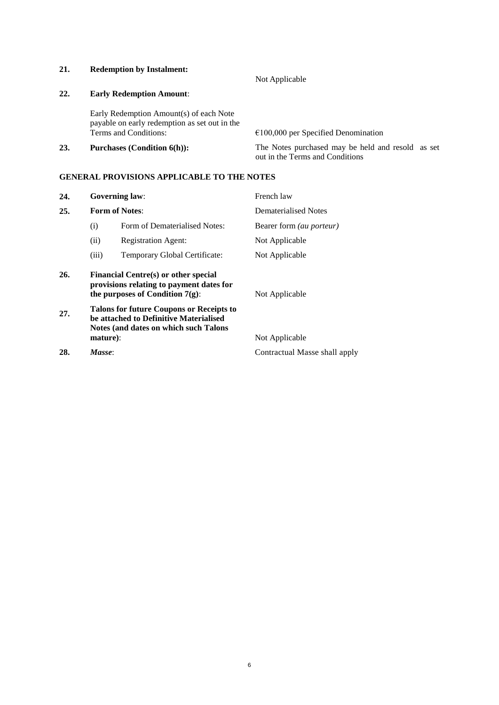**21. Redemption by Instalment:**

Not Applicable

## **22. Early Redemption Amount**:

Early Redemption Amount(s) of each Note payable on early redemption as set out in the

 $E100,000$  per Specified Denomination **23. Purchases (Condition 6(h)):** The Notes purchased may be held and resold as set

out in the Terms and Conditions

## **GENERAL PROVISIONS APPLICABLE TO THE NOTES**

| 24. |                                                                                                                        | <b>Governing law:</b>                                                                                                              | French law                      |
|-----|------------------------------------------------------------------------------------------------------------------------|------------------------------------------------------------------------------------------------------------------------------------|---------------------------------|
| 25. |                                                                                                                        | <b>Form of Notes:</b>                                                                                                              | Dematerialised Notes            |
|     | (i)                                                                                                                    | Form of Dematerialised Notes:                                                                                                      | Bearer form <i>(au porteur)</i> |
|     | (ii)                                                                                                                   | <b>Registration Agent:</b>                                                                                                         | Not Applicable                  |
|     | (iii)                                                                                                                  | Temporary Global Certificate:                                                                                                      | Not Applicable                  |
| 26. | Financial Centre(s) or other special<br>provisions relating to payment dates for<br>the purposes of Condition $7(g)$ : |                                                                                                                                    | Not Applicable                  |
| 27. |                                                                                                                        | <b>Talons for future Coupons or Receipts to</b><br>be attached to Definitive Materialised<br>Notes (and dates on which such Talons |                                 |
|     | mature):                                                                                                               |                                                                                                                                    | Not Applicable                  |

**28.** *Masse*: Contractual Masse shall apply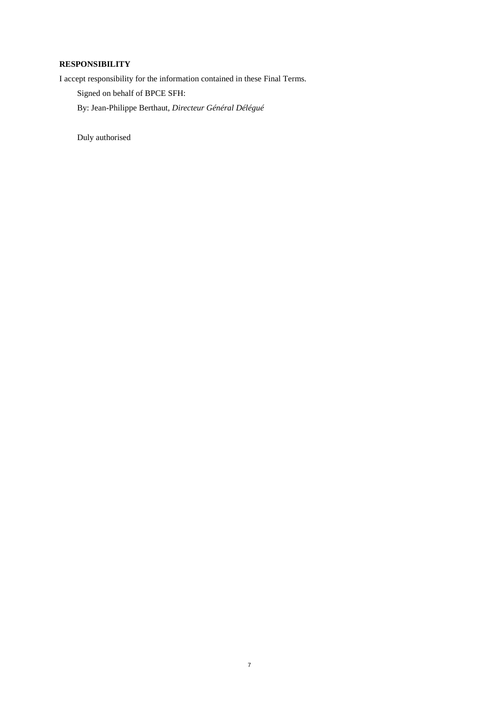## **RESPONSIBILITY**

I accept responsibility for the information contained in these Final Terms.

Signed on behalf of BPCE SFH:

By: Jean-Philippe Berthaut, *Directeur Général Délégué*

Duly authorised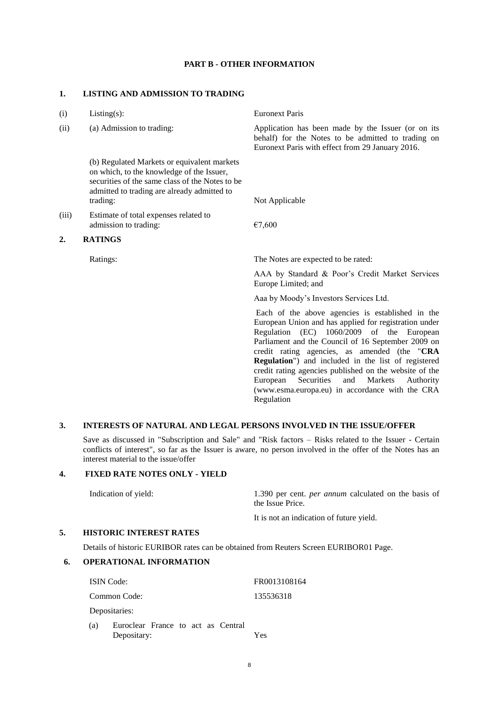#### **PART B - OTHER INFORMATION**

#### **1. LISTING AND ADMISSION TO TRADING**

| (i)   | $Listing(s)$ :                                                                                                                                                                                         | <b>Euronext Paris</b>                                                                                                                                                                                                                                                                                                                                                                                                                                                                                   |
|-------|--------------------------------------------------------------------------------------------------------------------------------------------------------------------------------------------------------|---------------------------------------------------------------------------------------------------------------------------------------------------------------------------------------------------------------------------------------------------------------------------------------------------------------------------------------------------------------------------------------------------------------------------------------------------------------------------------------------------------|
| (ii)  | (a) Admission to trading:                                                                                                                                                                              | Application has been made by the Issuer (or on its<br>behalf) for the Notes to be admitted to trading on<br>Euronext Paris with effect from 29 January 2016.                                                                                                                                                                                                                                                                                                                                            |
|       | (b) Regulated Markets or equivalent markets<br>on which, to the knowledge of the Issuer,<br>securities of the same class of the Notes to be<br>admitted to trading are already admitted to<br>trading: | Not Applicable                                                                                                                                                                                                                                                                                                                                                                                                                                                                                          |
| (iii) | Estimate of total expenses related to<br>admission to trading:                                                                                                                                         | €7,600                                                                                                                                                                                                                                                                                                                                                                                                                                                                                                  |
| 2.    | <b>RATINGS</b>                                                                                                                                                                                         |                                                                                                                                                                                                                                                                                                                                                                                                                                                                                                         |
|       | Ratings:                                                                                                                                                                                               | The Notes are expected to be rated:                                                                                                                                                                                                                                                                                                                                                                                                                                                                     |
|       |                                                                                                                                                                                                        | AAA by Standard & Poor's Credit Market Services<br>Europe Limited; and                                                                                                                                                                                                                                                                                                                                                                                                                                  |
|       |                                                                                                                                                                                                        | Aaa by Moody's Investors Services Ltd.                                                                                                                                                                                                                                                                                                                                                                                                                                                                  |
|       |                                                                                                                                                                                                        | Each of the above agencies is established in the<br>European Union and has applied for registration under<br>Regulation (EC) 1060/2009 of the European<br>Parliament and the Council of 16 September 2009 on<br>credit rating agencies, as amended (the "CRA<br>Regulation") and included in the list of registered<br>credit rating agencies published on the website of the<br>Securities<br>European<br>and<br>Markets<br>Authority<br>(www.esma.europa.eu) in accordance with the CRA<br>Regulation |

#### **3. INTERESTS OF NATURAL AND LEGAL PERSONS INVOLVED IN THE ISSUE/OFFER**

Save as discussed in "Subscription and Sale" and "Risk factors – Risks related to the Issuer - Certain conflicts of interest", so far as the Issuer is aware, no person involved in the offer of the Notes has an interest material to the issue/offer

## **4. FIXED RATE NOTES ONLY - YIELD**

Indication of yield: 1.390 per cent. *per annum* calculated on the basis of the Issue Price.

It is not an indication of future yield.

#### **5. HISTORIC INTEREST RATES**

Details of historic EURIBOR rates can be obtained from Reuters Screen EURIBOR01 Page.

## **6. OPERATIONAL INFORMATION**

| <b>ISIN</b> Code: |                                                   | FR0013108164 |
|-------------------|---------------------------------------------------|--------------|
|                   | Common Code:                                      | 135536318    |
|                   | Depositaries:                                     |              |
| (a)               | Euroclear France to act as Central<br>Depositary: | Yes          |